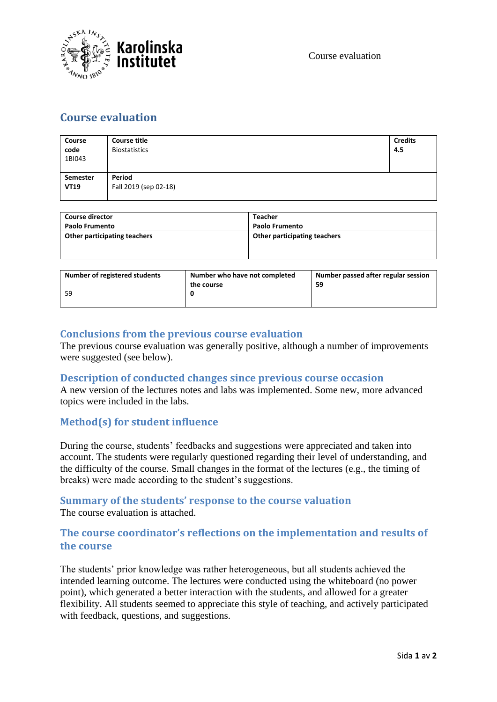

# **Course evaluation**

| Course<br>code<br>1BI043 | <b>Course title</b><br><b>Biostatistics</b> | <b>Credits</b><br>4.5 |
|--------------------------|---------------------------------------------|-----------------------|
| Semester<br><b>VT19</b>  | Period<br>Fall 2019 (sep 02-18)             |                       |

| <b>Course director</b>       | Teacher                      |
|------------------------------|------------------------------|
| <b>Paolo Frumento</b>        | <b>Paolo Frumento</b>        |
| Other participating teachers | Other participating teachers |

| Number of registered students | Number who have not completed | Number passed after regular session |  |
|-------------------------------|-------------------------------|-------------------------------------|--|
| 59                            | the course                    | 59                                  |  |
|                               |                               |                                     |  |

### **Conclusions from the previous course evaluation**

The previous course evaluation was generally positive, although a number of improvements were suggested (see below).

### **Description of conducted changes since previous course occasion**

A new version of the lectures notes and labs was implemented. Some new, more advanced topics were included in the labs.

### **Method(s) for student influence**

During the course, students' feedbacks and suggestions were appreciated and taken into account. The students were regularly questioned regarding their level of understanding, and the difficulty of the course. Small changes in the format of the lectures (e.g., the timing of breaks) were made according to the student's suggestions.

**Summary of the students' response to the course valuation**  The course evaluation is attached.

### **The course coordinator's reflections on the implementation and results of the course**

The students' prior knowledge was rather heterogeneous, but all students achieved the intended learning outcome. The lectures were conducted using the whiteboard (no power point), which generated a better interaction with the students, and allowed for a greater flexibility. All students seemed to appreciate this style of teaching, and actively participated with feedback, questions, and suggestions.